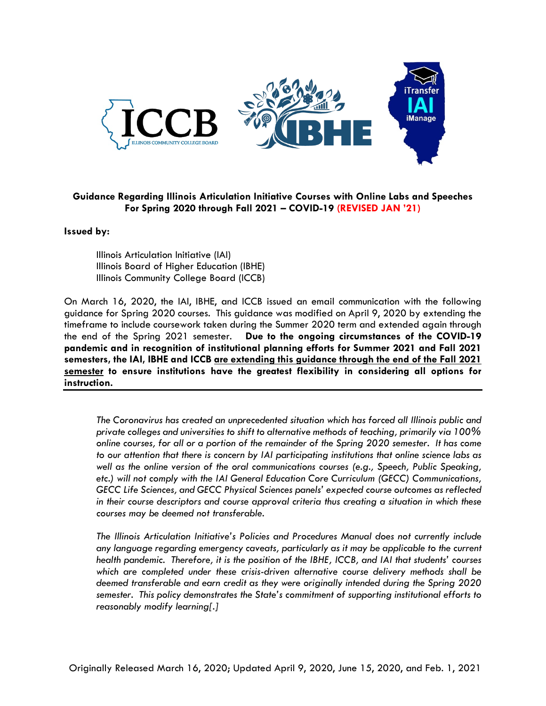

## **Guidance Regarding Illinois Articulation Initiative Courses with Online Labs and Speeches For Spring 2020 through Fall 2021 – COVID-19 (REVISED JAN '21)**

## **Issued by:**

Illinois Articulation Initiative (IAI) Illinois Board of Higher Education (IBHE) Illinois Community College Board (ICCB)

On March 16, 2020, the IAI, IBHE, and ICCB issued an email communication with the following guidance for Spring 2020 courses. This guidance was modified on April 9, 2020 by extending the timeframe to include coursework taken during the Summer 2020 term and extended again through the end of the Spring 2021 semester. **Due to the ongoing circumstances of the COVID-19 pandemic and in recognition of institutional planning efforts for Summer 2021 and Fall 2021 semesters, the IAI, IBHE and ICCB are extending this guidance through the end of the Fall 2021 semester to ensure institutions have the greatest flexibility in considering all options for instruction.**

*The Coronavirus has created an unprecedented situation which has forced all Illinois public and private colleges and universities to shift to alternative methods of teaching, primarily via 100% online courses, for all or a portion of the remainder of the Spring 2020 semester. It has come to our attention that there is concern by IAI participating institutions that online science labs as well as the online version of the oral communications courses (e.g., Speech, Public Speaking, etc.) will not comply with the IAI General Education Core Curriculum (GECC) Communications, GECC Life Sciences, and GECC Physical Sciences panels' expected course outcomes as reflected in their course descriptors and course approval criteria thus creating a situation in which these courses may be deemed not transferable.* 

*The Illinois Articulation Initiative's Policies and Procedures Manual does not currently include any language regarding emergency caveats, particularly as it may be applicable to the current health pandemic. Therefore, it is the position of the IBHE, ICCB, and IAI that students' courses which are completed under these crisis-driven alternative course delivery methods shall be deemed transferable and earn credit as they were originally intended during the Spring 2020 semester. This policy demonstrates the State's commitment of supporting institutional efforts to reasonably modify learning[.]*